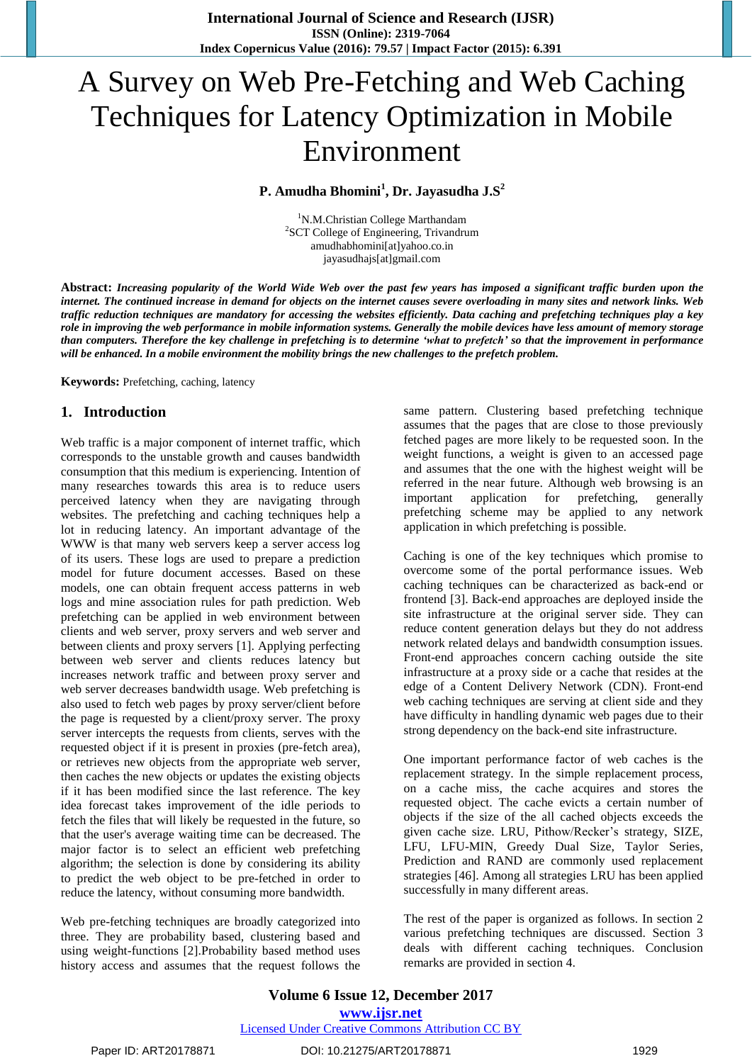**International Journal of Science and Research (IJSR) ISSN (Online): 2319-7064 Index Copernicus Value (2016): 79.57 | Impact Factor (2015): 6.391**

# A Survey on Web Pre-Fetching and Web Caching Techniques for Latency Optimization in Mobile Environment

# **P. Amudha Bhomini<sup>1</sup> , Dr. Jayasudha J.S<sup>2</sup>**

<sup>1</sup>N.M.Christian College Marthandam <sup>2</sup>SCT College of Engineering, Trivandrum amudhabhomini[at]yahoo.co.in jayasudhajs[at]gmail.com

Abstract: Increasing popularity of the World Wide Web over the past few years has imposed a significant traffic burden upon the internet. The continued increase in demand for objects on the internet causes severe overloading in many sites and network links. Web traffic reduction techniques are mandatory for accessing the websites efficiently. Data caching and prefetching techniques play a key role in improving the web performance in mobile information systems. Generally the mobile devices have less amount of memory storage than computers. Therefore the key challenge in prefetching is to determine 'what to prefetch' so that the improvement in performance *will be enhanced. In a mobile environment the mobility brings the new challenges to the prefetch problem.*

**Keywords:** Prefetching, caching, latency

# **1. Introduction**

Web traffic is a major component of internet traffic, which corresponds to the unstable growth and causes bandwidth consumption that this medium is experiencing. Intention of many researches towards this area is to reduce users perceived latency when they are navigating through websites. The prefetching and caching techniques help a lot in reducing latency. An important advantage of the WWW is that many web servers keep a server access log of its users. These logs are used to prepare a prediction model for future document accesses. Based on these models, one can obtain frequent access patterns in web logs and mine association rules for path prediction. Web prefetching can be applied in web environment between clients and web server, proxy servers and web server and between clients and proxy servers [1]. Applying perfecting between web server and clients reduces latency but increases network traffic and between proxy server and web server decreases bandwidth usage. Web prefetching is also used to fetch web pages by proxy server/client before the page is requested by a client/proxy server. The proxy server intercepts the requests from clients, serves with the requested object if it is present in proxies (pre-fetch area), or retrieves new objects from the appropriate web server, then caches the new objects or updates the existing objects if it has been modified since the last reference. The key idea forecast takes improvement of the idle periods to fetch the files that will likely be requested in the future, so that the user's average waiting time can be decreased. The major factor is to select an efficient web prefetching algorithm; the selection is done by considering its ability to predict the web object to be pre-fetched in order to reduce the latency, without consuming more bandwidth.

Web pre-fetching techniques are broadly categorized into three. They are probability based, clustering based and using weight-functions [2].Probability based method uses history access and assumes that the request follows the

same pattern. Clustering based prefetching technique assumes that the pages that are close to those previously fetched pages are more likely to be requested soon. In the weight functions, a weight is given to an accessed page and assumes that the one with the highest weight will be referred in the near future. Although web browsing is an important application for prefetching, generally prefetching scheme may be applied to any network application in which prefetching is possible.

Caching is one of the key techniques which promise to overcome some of the portal performance issues. Web caching techniques can be characterized as back-end or frontend [3]. Back-end approaches are deployed inside the site infrastructure at the original server side. They can reduce content generation delays but they do not address network related delays and bandwidth consumption issues. Front-end approaches concern caching outside the site infrastructure at a proxy side or a cache that resides at the edge of a Content Delivery Network (CDN). Front-end web caching techniques are serving at client side and they have difficulty in handling dynamic web pages due to their strong dependency on the back-end site infrastructure.

One important performance factor of web caches is the replacement strategy. In the simple replacement process, on a cache miss, the cache acquires and stores the requested object. The cache evicts a certain number of objects if the size of the all cached objects exceeds the given cache size. LRU, Pithow/Recker's strategy, SIZE, LFU, LFU-MIN, Greedy Dual Size, Taylor Series, Prediction and RAND are commonly used replacement strategies [46]. Among all strategies LRU has been applied successfully in many different areas.

The rest of the paper is organized as follows. In section 2 various prefetching techniques are discussed. Section 3 deals with different caching techniques. Conclusion remarks are provided in section 4.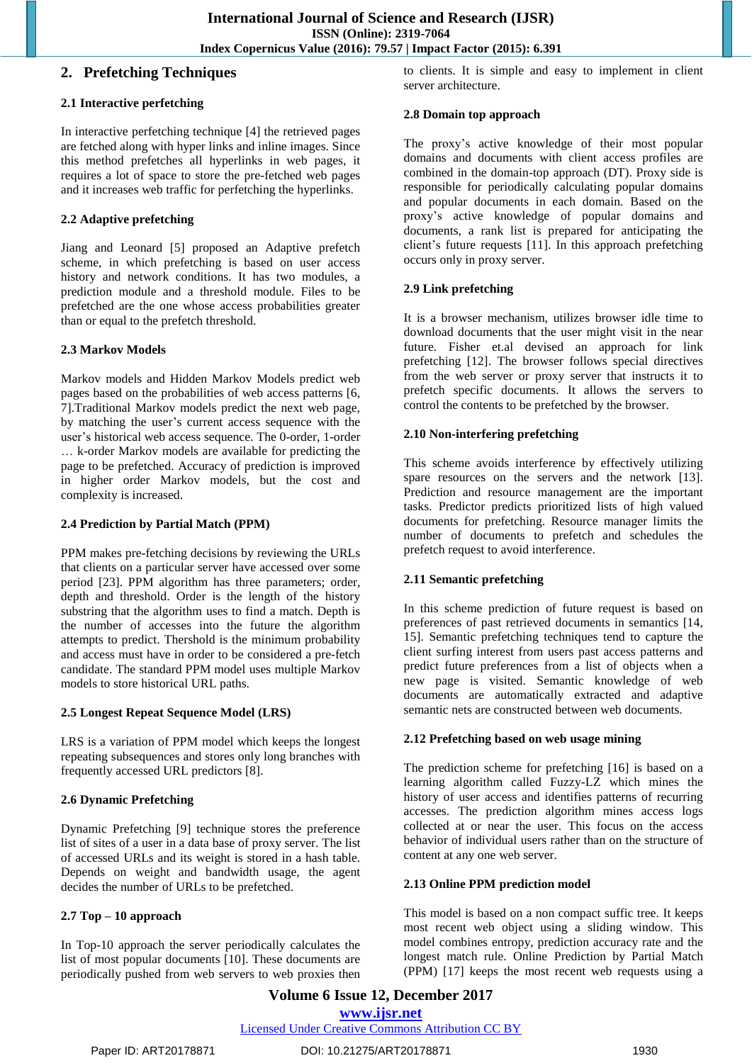## **2. Prefetching Techniques**

#### **2.1 Interactive perfetching**

In interactive perfetching technique [4] the retrieved pages are fetched along with hyper links and inline images. Since this method prefetches all hyperlinks in web pages, it requires a lot of space to store the pre-fetched web pages and it increases web traffic for perfetching the hyperlinks.

#### **2.2 Adaptive prefetching**

Jiang and Leonard [5] proposed an Adaptive prefetch scheme, in which prefetching is based on user access history and network conditions. It has two modules, a prediction module and a threshold module. Files to be prefetched are the one whose access probabilities greater than or equal to the prefetch threshold.

#### **2.3 Markov Models**

Markov models and Hidden Markov Models predict web pages based on the probabilities of web access patterns [6, 7].Traditional Markov models predict the next web page, by matching the user"s current access sequence with the user's historical web access sequence. The 0-order, 1-order … k-order Markov models are available for predicting the page to be prefetched. Accuracy of prediction is improved in higher order Markov models, but the cost and complexity is increased.

#### **2.4 Prediction by Partial Match (PPM)**

PPM makes pre-fetching decisions by reviewing the URLs that clients on a particular server have accessed over some period [23]. PPM algorithm has three parameters; order, depth and threshold. Order is the length of the history substring that the algorithm uses to find a match. Depth is the number of accesses into the future the algorithm attempts to predict. Thershold is the minimum probability and access must have in order to be considered a pre-fetch candidate. The standard PPM model uses multiple Markov models to store historical URL paths.

#### **2.5 Longest Repeat Sequence Model (LRS)**

LRS is a variation of PPM model which keeps the longest repeating subsequences and stores only long branches with frequently accessed URL predictors [8].

# **2.6 Dynamic Prefetching**

Dynamic Prefetching [9] technique stores the preference list of sites of a user in a data base of proxy server. The list of accessed URLs and its weight is stored in a hash table. Depends on weight and bandwidth usage, the agent decides the number of URLs to be prefetched.

# **2.7 Top – 10 approach**

In Top-10 approach the server periodically calculates the list of most popular documents [10]. These documents are periodically pushed from web servers to web proxies then to clients. It is simple and easy to implement in client server architecture.

#### **2.8 Domain top approach**

The proxy's active knowledge of their most popular domains and documents with client access profiles are combined in the domain-top approach (DT). Proxy side is responsible for periodically calculating popular domains and popular documents in each domain. Based on the proxy"s active knowledge of popular domains and documents, a rank list is prepared for anticipating the client"s future requests [11]. In this approach prefetching occurs only in proxy server.

#### **2.9 Link prefetching**

It is a browser mechanism, utilizes browser idle time to download documents that the user might visit in the near future. Fisher et.al devised an approach for link prefetching [12]. The browser follows special directives from the web server or proxy server that instructs it to prefetch specific documents. It allows the servers to control the contents to be prefetched by the browser.

# **2.10 Non-interfering prefetching**

This scheme avoids interference by effectively utilizing spare resources on the servers and the network [13]. Prediction and resource management are the important tasks. Predictor predicts prioritized lists of high valued documents for prefetching. Resource manager limits the number of documents to prefetch and schedules the prefetch request to avoid interference.

# **2.11 Semantic prefetching**

In this scheme prediction of future request is based on preferences of past retrieved documents in semantics [14, 15]. Semantic prefetching techniques tend to capture the client surfing interest from users past access patterns and predict future preferences from a list of objects when a new page is visited. Semantic knowledge of web documents are automatically extracted and adaptive semantic nets are constructed between web documents.

#### **2.12 Prefetching based on web usage mining**

The prediction scheme for prefetching [16] is based on a learning algorithm called Fuzzy-LZ which mines the history of user access and identifies patterns of recurring accesses. The prediction algorithm mines access logs collected at or near the user. This focus on the access behavior of individual users rather than on the structure of content at any one web server.

#### **2.13 Online PPM prediction model**

This model is based on a non compact suffic tree. It keeps most recent web object using a sliding window. This model combines entropy, prediction accuracy rate and the longest match rule. Online Prediction by Partial Match (PPM) [17] keeps the most recent web requests using a

**Volume 6 Issue 12, December 2017 <www.ijsr.net>** [Licensed Under Creative Commons Attribution CC BY](http://creativecommons.org/licenses/by/4.0/)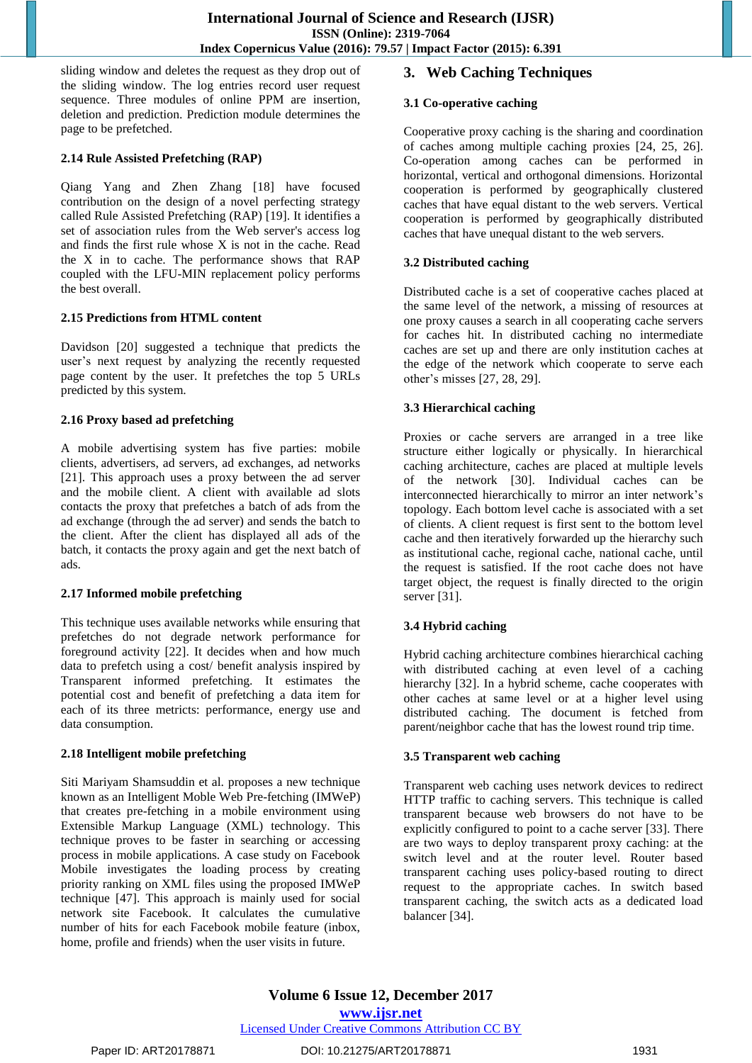sliding window and deletes the request as they drop out of the sliding window. The log entries record user request sequence. Three modules of online PPM are insertion, deletion and prediction. Prediction module determines the page to be prefetched.

#### **2.14 Rule Assisted Prefetching (RAP)**

Qiang Yang and Zhen Zhang [18] have focused contribution on the design of a novel perfecting strategy called Rule Assisted Prefetching (RAP) [19]. It identifies a set of association rules from the Web server's access log and finds the first rule whose X is not in the cache. Read the X in to cache. The performance shows that RAP coupled with the LFU-MIN replacement policy performs the best overall.

#### **2.15 Predictions from HTML content**

Davidson [20] suggested a technique that predicts the user's next request by analyzing the recently requested page content by the user. It prefetches the top 5 URLs predicted by this system.

# **2.16 Proxy based ad prefetching**

A mobile advertising system has five parties: mobile clients, advertisers, ad servers, ad exchanges, ad networks [21]. This approach uses a proxy between the ad server and the mobile client. A client with available ad slots contacts the proxy that prefetches a batch of ads from the ad exchange (through the ad server) and sends the batch to the client. After the client has displayed all ads of the batch, it contacts the proxy again and get the next batch of ads.

# **2.17 Informed mobile prefetching**

This technique uses available networks while ensuring that prefetches do not degrade network performance for foreground activity [22]. It decides when and how much data to prefetch using a cost/ benefit analysis inspired by Transparent informed prefetching. It estimates the potential cost and benefit of prefetching a data item for each of its three metricts: performance, energy use and data consumption.

# **2.18 Intelligent mobile prefetching**

Siti Mariyam Shamsuddin et al. proposes a new technique known as an Intelligent Moble Web Pre-fetching (IMWeP) that creates pre-fetching in a mobile environment using Extensible Markup Language (XML) technology. This technique proves to be faster in searching or accessing process in mobile applications. A case study on Facebook Mobile investigates the loading process by creating priority ranking on XML files using the proposed IMWeP technique [47]. This approach is mainly used for social network site Facebook. It calculates the cumulative number of hits for each Facebook mobile feature (inbox, home, profile and friends) when the user visits in future.

# **3. Web Caching Techniques**

## **3.1 Co-operative caching**

Cooperative proxy caching is the sharing and coordination of caches among multiple caching proxies [24, 25, 26]. Co-operation among caches can be performed in horizontal, vertical and orthogonal dimensions. Horizontal cooperation is performed by geographically clustered caches that have equal distant to the web servers. Vertical cooperation is performed by geographically distributed caches that have unequal distant to the web servers.

# **3.2 Distributed caching**

Distributed cache is a set of cooperative caches placed at the same level of the network, a missing of resources at one proxy causes a search in all cooperating cache servers for caches hit. In distributed caching no intermediate caches are set up and there are only institution caches at the edge of the network which cooperate to serve each other"s misses [27, 28, 29].

# **3.3 Hierarchical caching**

Proxies or cache servers are arranged in a tree like structure either logically or physically. In hierarchical caching architecture, caches are placed at multiple levels of the network [30]. Individual caches can be interconnected hierarchically to mirror an inter network"s topology. Each bottom level cache is associated with a set of clients. A client request is first sent to the bottom level cache and then iteratively forwarded up the hierarchy such as institutional cache, regional cache, national cache, until the request is satisfied. If the root cache does not have target object, the request is finally directed to the origin server [31].

# **3.4 Hybrid caching**

Hybrid caching architecture combines hierarchical caching with distributed caching at even level of a caching hierarchy [32]. In a hybrid scheme, cache cooperates with other caches at same level or at a higher level using distributed caching. The document is fetched from parent/neighbor cache that has the lowest round trip time.

# **3.5 Transparent web caching**

Transparent web caching uses network devices to redirect HTTP traffic to caching servers. This technique is called transparent because web browsers do not have to be explicitly configured to point to a cache server [33]. There are two ways to deploy transparent proxy caching: at the switch level and at the router level. Router based transparent caching uses policy-based routing to direct request to the appropriate caches. In switch based transparent caching, the switch acts as a dedicated load balancer [34].

**Volume 6 Issue 12, December 2017 <www.ijsr.net>** [Licensed Under Creative Commons Attribution CC BY](http://creativecommons.org/licenses/by/4.0/)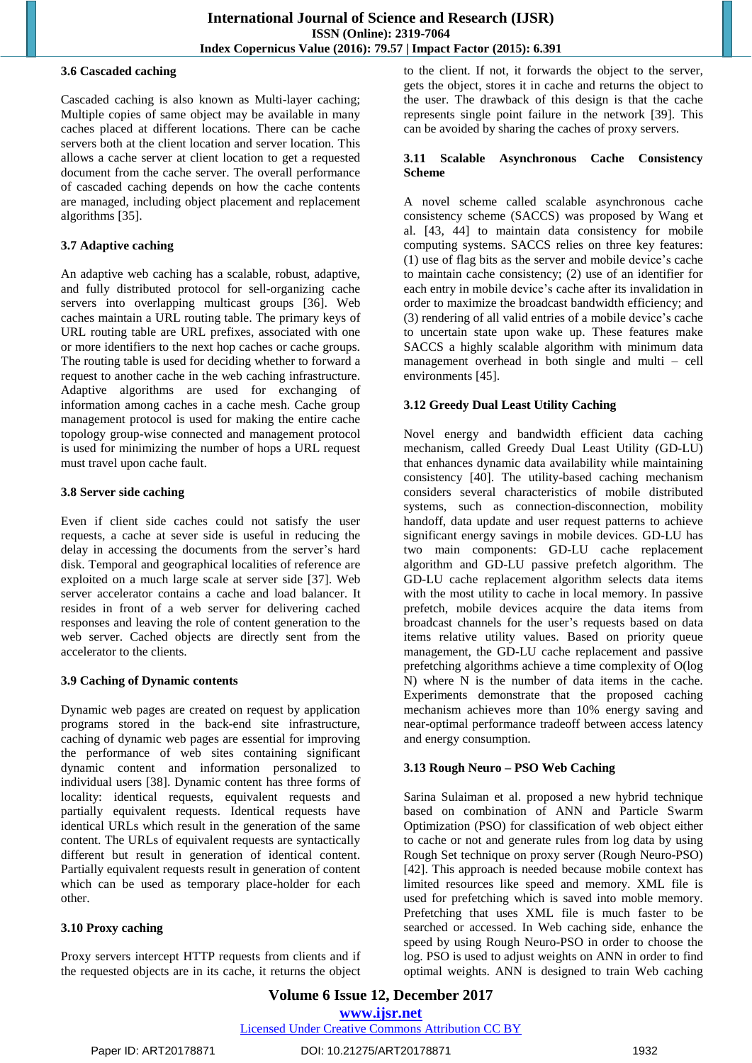# **3.6 Cascaded caching**

Cascaded caching is also known as Multi-layer caching; Multiple copies of same object may be available in many caches placed at different locations. There can be cache servers both at the client location and server location. This allows a cache server at client location to get a requested document from the cache server. The overall performance of cascaded caching depends on how the cache contents are managed, including object placement and replacement algorithms [35].

# **3.7 Adaptive caching**

An adaptive web caching has a scalable, robust, adaptive, and fully distributed protocol for sell-organizing cache servers into overlapping multicast groups [36]. Web caches maintain a URL routing table. The primary keys of URL routing table are URL prefixes, associated with one or more identifiers to the next hop caches or cache groups. The routing table is used for deciding whether to forward a request to another cache in the web caching infrastructure. Adaptive algorithms are used for exchanging of information among caches in a cache mesh. Cache group management protocol is used for making the entire cache topology group-wise connected and management protocol is used for minimizing the number of hops a URL request must travel upon cache fault.

#### **3.8 Server side caching**

Even if client side caches could not satisfy the user requests, a cache at sever side is useful in reducing the delay in accessing the documents from the server"s hard disk. Temporal and geographical localities of reference are exploited on a much large scale at server side [37]. Web server accelerator contains a cache and load balancer. It resides in front of a web server for delivering cached responses and leaving the role of content generation to the web server. Cached objects are directly sent from the accelerator to the clients.

# **3.9 Caching of Dynamic contents**

Dynamic web pages are created on request by application programs stored in the back-end site infrastructure, caching of dynamic web pages are essential for improving the performance of web sites containing significant dynamic content and information personalized to individual users [38]. Dynamic content has three forms of locality: identical requests, equivalent requests and partially equivalent requests. Identical requests have identical URLs which result in the generation of the same content. The URLs of equivalent requests are syntactically different but result in generation of identical content. Partially equivalent requests result in generation of content which can be used as temporary place-holder for each other.

# **3.10 Proxy caching**

Proxy servers intercept HTTP requests from clients and if the requested objects are in its cache, it returns the object to the client. If not, it forwards the object to the server, gets the object, stores it in cache and returns the object to the user. The drawback of this design is that the cache represents single point failure in the network [39]. This can be avoided by sharing the caches of proxy servers.

#### **3.11 Scalable Asynchronous Cache Consistency Scheme**

A novel scheme called scalable asynchronous cache consistency scheme (SACCS) was proposed by Wang et al. [43, 44] to maintain data consistency for mobile computing systems. SACCS relies on three key features: (1) use of flag bits as the server and mobile device"s cache to maintain cache consistency; (2) use of an identifier for each entry in mobile device"s cache after its invalidation in order to maximize the broadcast bandwidth efficiency; and (3) rendering of all valid entries of a mobile device"s cache to uncertain state upon wake up. These features make SACCS a highly scalable algorithm with minimum data management overhead in both single and multi – cell environments [45].

# **3.12 Greedy Dual Least Utility Caching**

Novel energy and bandwidth efficient data caching mechanism, called Greedy Dual Least Utility (GD-LU) that enhances dynamic data availability while maintaining consistency [40]. The utility-based caching mechanism considers several characteristics of mobile distributed systems, such as connection-disconnection, mobility handoff, data update and user request patterns to achieve significant energy savings in mobile devices. GD-LU has two main components: GD-LU cache replacement algorithm and GD-LU passive prefetch algorithm. The GD-LU cache replacement algorithm selects data items with the most utility to cache in local memory. In passive prefetch, mobile devices acquire the data items from broadcast channels for the user"s requests based on data items relative utility values. Based on priority queue management, the GD-LU cache replacement and passive prefetching algorithms achieve a time complexity of O(log N) where N is the number of data items in the cache. Experiments demonstrate that the proposed caching mechanism achieves more than 10% energy saving and near-optimal performance tradeoff between access latency and energy consumption.

#### **3.13 Rough Neuro – PSO Web Caching**

Sarina Sulaiman et al. proposed a new hybrid technique based on combination of ANN and Particle Swarm Optimization (PSO) for classification of web object either to cache or not and generate rules from log data by using Rough Set technique on proxy server (Rough Neuro-PSO) [42]. This approach is needed because mobile context has limited resources like speed and memory. XML file is used for prefetching which is saved into moble memory. Prefetching that uses XML file is much faster to be searched or accessed. In Web caching side, enhance the speed by using Rough Neuro-PSO in order to choose the log. PSO is used to adjust weights on ANN in order to find optimal weights. ANN is designed to train Web caching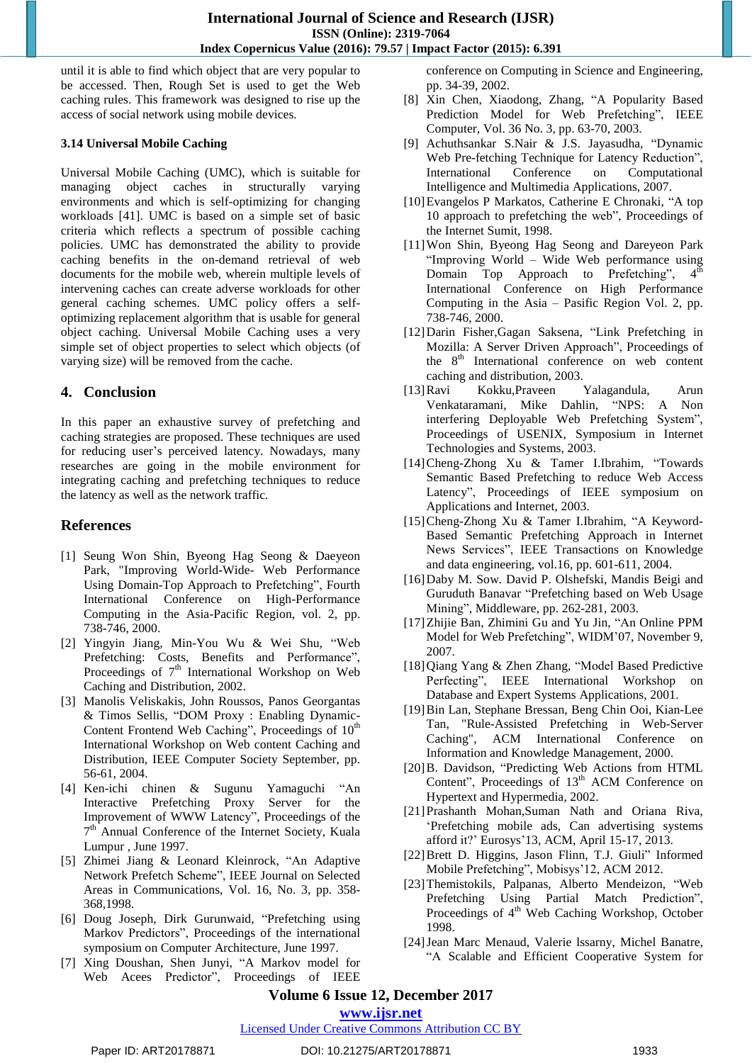until it is able to find which object that are very popular to be accessed. Then, Rough Set is used to get the Web caching rules. This framework was designed to rise up the access of social network using mobile devices.

#### **3.14 Universal Mobile Caching**

Universal Mobile Caching (UMC), which is suitable for managing object caches in structurally varying environments and which is self-optimizing for changing workloads [41]. UMC is based on a simple set of basic criteria which reflects a spectrum of possible caching policies. UMC has demonstrated the ability to provide caching benefits in the on-demand retrieval of web documents for the mobile web, wherein multiple levels of intervening caches can create adverse workloads for other general caching schemes. UMC policy offers a selfoptimizing replacement algorithm that is usable for general object caching. Universal Mobile Caching uses a very simple set of object properties to select which objects (of varying size) will be removed from the cache.

# **4. Conclusion**

In this paper an exhaustive survey of prefetching and caching strategies are proposed. These techniques are used for reducing user"s perceived latency. Nowadays, many researches are going in the mobile environment for integrating caching and prefetching techniques to reduce the latency as well as the network traffic.

# **References**

- [1] Seung Won Shin, Byeong Hag Seong & Daeyeon Park, "Improving World-Wide- Web Performance Using Domain-Top Approach to Prefetching", Fourth International Conference on High-Performance Computing in the Asia-Pacific Region, vol. 2, pp. 738-746, 2000.
- [2] Yingyin Jiang, Min-You Wu & Wei Shu, "Web Prefetching: Costs, Benefits and Performance", Proceedings of  $7<sup>th</sup>$  International Workshop on Web Caching and Distribution, 2002.
- [3] Manolis Veliskakis, John Roussos, Panos Georgantas & Timos Sellis, "DOM Proxy : Enabling Dynamic-Content Frontend Web Caching", Proceedings of  $10<sup>th</sup>$ International Workshop on Web content Caching and Distribution, IEEE Computer Society September, pp. 56-61, 2004.
- [4] Ken-ichi chinen & Sugunu Yamaguchi "An Interactive Prefetching Proxy Server for the Improvement of WWW Latency", Proceedings of the 7<sup>th</sup> Annual Conference of the Internet Society, Kuala Lumpur , June 1997.
- [5] Zhimei Jiang & Leonard Kleinrock, "An Adaptive Network Prefetch Scheme", IEEE Journal on Selected Areas in Communications, Vol. 16, No. 3, pp. 358- 368,1998.
- [6] Doug Joseph, Dirk Gurunwaid, "Prefetching using Markov Predictors", Proceedings of the international symposium on Computer Architecture, June 1997.
- [7] Xing Doushan, Shen Junyi, "A Markov model for Web Acees Predictor", Proceedings of IEEE

conference on Computing in Science and Engineering, pp. 34-39, 2002.

- [8] Xin Chen, Xiaodong, Zhang, "A Popularity Based Prediction Model for Web Prefetching", IEEE Computer, Vol. 36 No. 3, pp. 63-70, 2003.
- [9] Achuthsankar S.Nair & J.S. Jayasudha, "Dynamic Web Pre-fetching Technique for Latency Reduction", International Conference on Computational Intelligence and Multimedia Applications, 2007.
- [10]Evangelos P Markatos, Catherine E Chronaki, "A top 10 approach to prefetching the web", Proceedings of the Internet Sumit, 1998.
- [11]Won Shin, Byeong Hag Seong and Dareyeon Park "Improving World – Wide Web performance using Domain Top Approach to Prefetching",  $4^{\overline{u}}$ International Conference on High Performance Computing in the Asia – Pasific Region Vol. 2, pp. 738-746, 2000.
- [12]Darin Fisher,Gagan Saksena, "Link Prefetching in Mozilla: A Server Driven Approach", Proceedings of the 8<sup>th</sup> International conference on web content caching and distribution, 2003.
- [13]Ravi Kokku,Praveen Yalagandula, Arun Venkataramani, Mike Dahlin, "NPS: A Non interfering Deployable Web Prefetching System", Proceedings of USENIX, Symposium in Internet Technologies and Systems, 2003.
- [14]Cheng-Zhong Xu & Tamer I.Ibrahim, "Towards Semantic Based Prefetching to reduce Web Access Latency", Proceedings of IEEE symposium on Applications and Internet, 2003.
- [15]Cheng-Zhong Xu & Tamer I.Ibrahim, "A Keyword-Based Semantic Prefetching Approach in Internet News Services", IEEE Transactions on Knowledge and data engineering, vol.16, pp. 601-611, 2004.
- [16]Daby M. Sow. David P. Olshefski, Mandis Beigi and Guruduth Banavar "Prefetching based on Web Usage Mining", Middleware, pp. 262-281, 2003.
- [17]Zhijie Ban, Zhimini Gu and Yu Jin, "An Online PPM Model for Web Prefetching", WIDM"07, November 9, 2007.
- [18]Qiang Yang & Zhen Zhang, "Model Based Predictive Perfecting", IEEE International Workshop on Database and Expert Systems Applications, 2001.
- [19]Bin Lan, Stephane Bressan, Beng Chin Ooi, Kian-Lee Tan, "Rule-Assisted Prefetching in Web-Server Caching", ACM International Conference on Information and Knowledge Management, 2000.
- [20]B. Davidson, "Predicting Web Actions from HTML Content", Proceedings of 13<sup>th</sup> ACM Conference on Hypertext and Hypermedia, 2002.
- [21]Prashanth Mohan,Suman Nath and Oriana Riva, "Prefetching mobile ads, Can advertising systems afford it?" Eurosys"13, ACM, April 15-17, 2013.
- [22]Brett D. Higgins, Jason Flinn, T.J. Giuli" Informed Mobile Prefetching", Mobisys"12, ACM 2012.
- [23]Themistokils, Palpanas, Alberto Mendeizon, "Web Prefetching Using Partial Match Prediction", Proceedings of 4<sup>th</sup> Web Caching Workshop, October 1998.
- [24]Jean Marc Menaud, Valerie lssarny, Michel Banatre, "A Scalable and Efficient Cooperative System for

# **Volume 6 Issue 12, December 2017**

**<www.ijsr.net>**

#### [Licensed Under Creative Commons Attribution CC BY](http://creativecommons.org/licenses/by/4.0/)